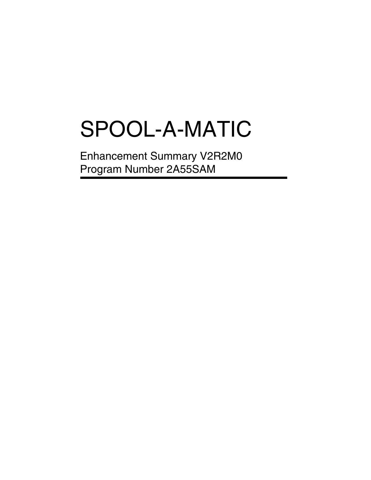# SPOOL-A-MATIC

Enhancement Summary V2R2M0 Program Number 2A55SAM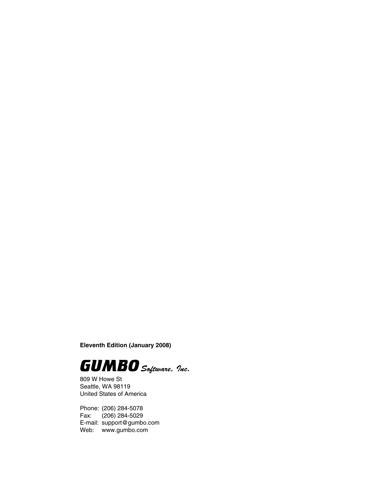**Eleventh Edition (January 2008)**



809 W Howe St Seattle, WA 98119 United States of America

Phone: (206) 284-5078 Fax: (206) 284-5029 E-mail: support@gumbo.com Web: www.gumbo.com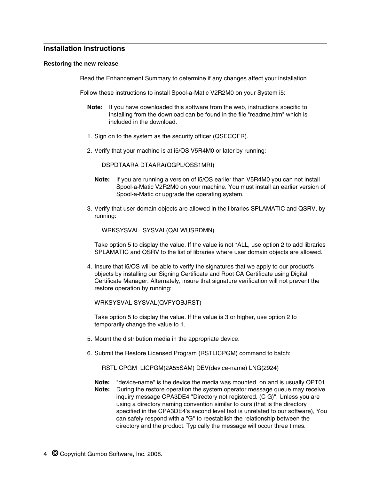# **Installation Instructions**

#### **Restoring the new release**

Read the Enhancement Summary to determine if any changes affect your installation.

Follow these instructions to install Spool-a-Matic V2R2M0 on your System i5:

- **Note:** If you have downloaded this software from the web, instructions specific to installing from the download can be found in the file "readme.htm" which is included in the download.
- 1. Sign on to the system as the security officer (QSECOFR).
- 2. Verify that your machine is at i5/OS V5R4M0 or later by running:

DSPDTAARA DTAARA(QGPL/QSS1MRI)

- **Note:** If you are running a version of i5/OS earlier than V5R4M0 you can not install Spool-a-Matic V2R2M0 on your machine. You must install an earlier version of Spool-a-Matic or upgrade the operating system.
- 3. Verify that user domain objects are allowed in the libraries SPLAMATIC and QSRV, by running:

WRKSYSVAL SYSVAL(QALWUSRDMN)

Take option 5 to display the value. If the value is not \*ALL, use option 2 to add libraries SPLAMATIC and QSRV to the list of libraries where user domain objects are allowed.

4. Insure that i5/OS will be able to verify the signatures that we apply to our product's objects by installing our Signing Certificate and Root CA Certificate using Digital Certificate Manager. Alternately, insure that signature verification will not prevent the restore operation by running:

WRKSYSVAL SYSVAL(QVFYOBJRST)

Take option 5 to display the value. If the value is 3 or higher, use option 2 to temporarily change the value to 1.

- 5. Mount the distribution media in the appropriate device.
- 6. Submit the Restore Licensed Program (RSTLICPGM) command to batch:

RSTLICPGM LICPGM(2A55SAM) DEV(device-name) LNG(2924)

**Note:** "device-name" is the device the media was mounted on and is usually OPT01. **Note:** During the restore operation the system operator message queue may receive inquiry message CPA3DE4 "Directory not registered. (C G)". Unless you are using a directory naming convention similar to ours (that is the directory specified in the CPA3DE4's second level text is unrelated to our software), You can safely respond with a "G" to reestablish the relationship between the directory and the product. Typically the message will occur three times.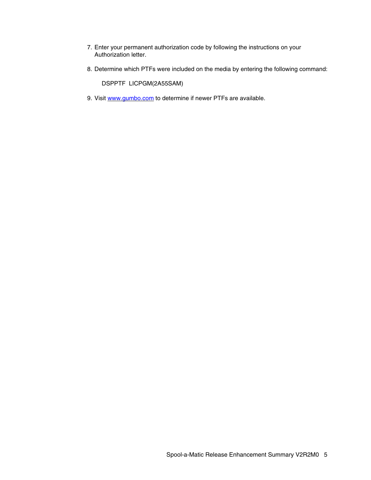- 7. Enter your permanent authorization code by following the instructions on your Authorization letter.
- 8. Determine which PTFs were included on the media by entering the following command:

DSPPTF LICPGM(2A55SAM)

9. Visit www.gumbo.com to determine if newer PTFs are available.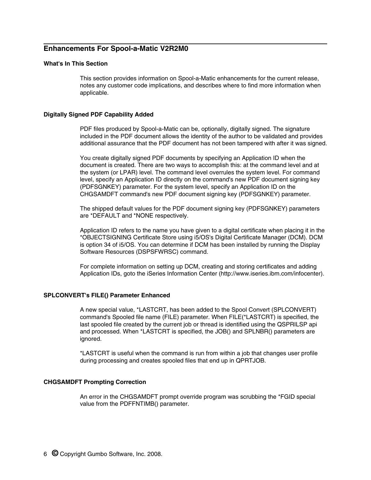# **Enhancements For Spool-a-Matic V2R2M0**

# **What's In This Section**

This section provides information on Spool-a-Matic enhancements for the current release, notes any customer code implications, and describes where to find more information when applicable.

#### **Digitally Signed PDF Capability Added**

PDF files produced by Spool-a-Matic can be, optionally, digitally signed. The signature included in the PDF document allows the identity of the author to be validated and provides additional assurance that the PDF document has not been tampered with after it was signed.

You create digitally signed PDF documents by specifying an Application ID when the document is created. There are two ways to accomplish this: at the command level and at the system (or LPAR) level. The command level overrules the system level. For command level, specify an Application ID directly on the command's new PDF document signing key (PDFSGNKEY) parameter. For the system level, specify an Application ID on the CHGSAMDFT command's new PDF document signing key (PDFSGNKEY) parameter.

The shipped default values for the PDF document signing key (PDFSGNKEY) parameters are \*DEFAULT and \*NONE respectively.

Application ID refers to the name you have given to a digital certificate when placing it in the \*OBJECTSIGNING Certificate Store using i5/OS's Digital Certificate Manager (DCM). DCM is option 34 of i5/OS. You can determine if DCM has been installed by running the Display Software Resources (DSPSFWRSC) command.

For complete information on setting up DCM, creating and storing certificates and adding Application IDs, goto the iSeries Information Center (http://www.iseries.ibm.com/infocenter).

#### **SPLCONVERT's FILE() Parameter Enhanced**

A new special value, \*LASTCRT, has been added to the Spool Convert (SPLCONVERT) command's Spooled file name (FILE) parameter. When FILE(\*LASTCRT) is specified, the last spooled file created by the current job or thread is identified using the QSPRILSP api and processed. When \*LASTCRT is specified, the JOB() and SPLNBR() parameters are ignored.

\*LASTCRT is useful when the command is run from within a job that changes user profile during processing and creates spooled files that end up in QPRTJOB.

## **CHGSAMDFT Prompting Correction**

An error in the CHGSAMDFT prompt override program was scrubbing the \*FGID special value from the PDFFNTIMB() parameter.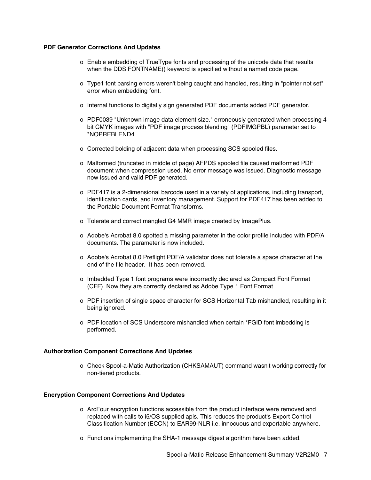### **PDF Generator Corrections And Updates**

- o Enable embedding of TrueType fonts and processing of the unicode data that results when the DDS FONTNAME() keyword is specified without a named code page.
- o Type1 font parsing errors weren't being caught and handled, resulting in "pointer not set" error when embedding font.
- o Internal functions to digitally sign generated PDF documents added PDF generator.
- o PDF0039 "Unknown image data element size." erroneously generated when processing 4 bit CMYK images with "PDF image process blending" (PDFIMGPBL) parameter set to \*NOPREBLEND4.
- o Corrected bolding of adjacent data when processing SCS spooled files.
- o Malformed (truncated in middle of page) AFPDS spooled file caused malformed PDF document when compression used. No error message was issued. Diagnostic message now issued and valid PDF generated.
- o PDF417 is a 2-dimensional barcode used in a variety of applications, including transport, identification cards, and inventory management. Support for PDF417 has been added to the Portable Document Format Transforms.
- o Tolerate and correct mangled G4 MMR image created by ImagePlus.
- o Adobe's Acrobat 8.0 spotted a missing parameter in the color profile included with PDF/A documents. The parameter is now included.
- o Adobe's Acrobat 8.0 Preflight PDF/A validator does not tolerate a space character at the end of the file header. It has been removed.
- o Imbedded Type 1 font programs were incorrectly declared as Compact Font Format (CFF). Now they are correctly declared as Adobe Type 1 Font Format.
- o PDF insertion of single space character for SCS Horizontal Tab mishandled, resulting in it being ignored.
- o PDF location of SCS Underscore mishandled when certain \*FGID font imbedding is performed.

# **Authorization Component Corrections And Updates**

o Check Spool-a-Matic Authorization (CHKSAMAUT) command wasn't working correctly for non-tiered products.

# **Encryption Component Corrections And Updates**

- o ArcFour encryption functions accessible from the product interface were removed and replaced with calls to i5/OS supplied apis. This reduces the product's Export Control Classification Number (ECCN) to EAR99-NLR i.e. innocuous and exportable anywhere.
- o Functions implementing the SHA-1 message digest algorithm have been added.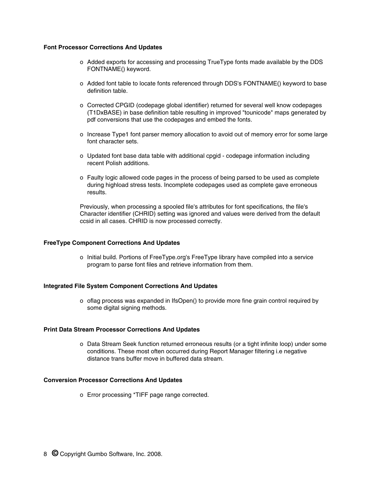### **Font Processor Corrections And Updates**

- o Added exports for accessing and processing TrueType fonts made available by the DDS FONTNAME() keyword.
- o Added font table to locate fonts referenced through DDS's FONTNAME() keyword to base definition table.
- o Corrected CPGID (codepage global identifier) returned for several well know codepages (T1DxBASE) in base definition table resulting in improved "tounicode" maps generated by pdf conversions that use the codepages and embed the fonts.
- o Increase Type1 font parser memory allocation to avoid out of memory error for some large font character sets.
- o Updated font base data table with additional cpgid codepage information including recent Polish additions.
- o Faulty logic allowed code pages in the process of being parsed to be used as complete during highload stress tests. Incomplete codepages used as complete gave erroneous results.

Previously, when processing a spooled file's attributes for font specifications, the file's Character identifier (CHRID) setting was ignored and values were derived from the default ccsid in all cases. CHRID is now processed correctly.

## **FreeType Component Corrections And Updates**

o Initial build. Portions of FreeType.org's FreeType library have compiled into a service program to parse font files and retrieve information from them.

# **Integrated File System Component Corrections And Updates**

o oflag process was expanded in IfsOpen() to provide more fine grain control required by some digital signing methods.

# **Print Data Stream Processor Corrections And Updates**

o Data Stream Seek function returned erroneous results (or a tight infinite loop) under some conditions. These most often occurred during Report Manager filtering i.e negative distance trans buffer move in buffered data stream.

# **Conversion Processor Corrections And Updates**

o Error processing \*TIFF page range corrected.